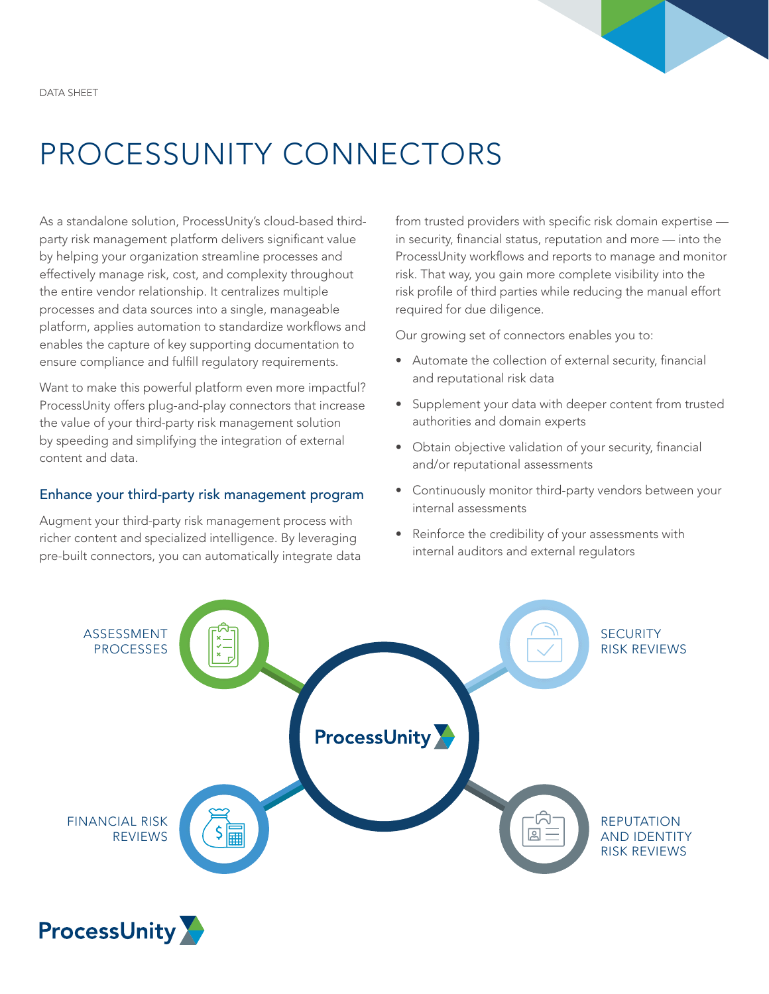

# PROCESSUNITY CONNECTORS

As a standalone solution, ProcessUnity's cloud-based thirdparty risk management platform delivers significant value by helping your organization streamline processes and effectively manage risk, cost, and complexity throughout the entire vendor relationship. It centralizes multiple processes and data sources into a single, manageable platform, applies automation to standardize workflows and enables the capture of key supporting documentation to ensure compliance and fulfill regulatory requirements.

Want to make this powerful platform even more impactful? ProcessUnity offers plug-and-play connectors that increase the value of your third-party risk management solution by speeding and simplifying the integration of external content and data.

### Enhance your third-party risk management program

Augment your third-party risk management process with richer content and specialized intelligence. By leveraging pre-built connectors, you can automatically integrate data from trusted providers with specific risk domain expertise in security, financial status, reputation and more — into the ProcessUnity workflows and reports to manage and monitor risk. That way, you gain more complete visibility into the risk profile of third parties while reducing the manual effort required for due diligence.

Our growing set of connectors enables you to:

- Automate the collection of external security, financial and reputational risk data
- Supplement your data with deeper content from trusted authorities and domain experts
- Obtain objective validation of your security, financial and/or reputational assessments
- Continuously monitor third-party vendors between your internal assessments
- Reinforce the credibility of your assessments with internal auditors and external regulators